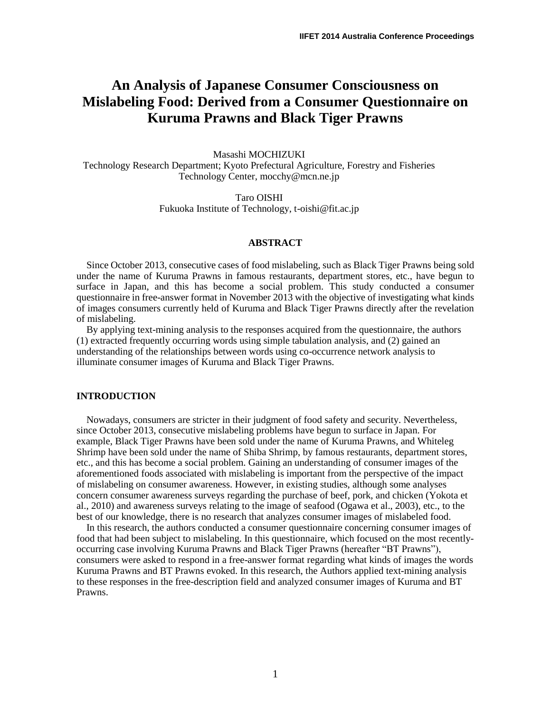# **An Analysis of Japanese Consumer Consciousness on Mislabeling Food: Derived from a Consumer Questionnaire on Kuruma Prawns and Black Tiger Prawns**

Masashi MOCHIZUKI Technology Research Department; Kyoto Prefectural Agriculture, Forestry and Fisheries Technology Center, mocchy@mcn.ne.jp

> Taro OISHI Fukuoka Institute of Technology, t-oishi@fit.ac.jp

## **ABSTRACT**

Since October 2013, consecutive cases of food mislabeling, such as Black Tiger Prawns being sold under the name of Kuruma Prawns in famous restaurants, department stores, etc., have begun to surface in Japan, and this has become a social problem. This study conducted a consumer questionnaire in free-answer format in November 2013 with the objective of investigating what kinds of images consumers currently held of Kuruma and Black Tiger Prawns directly after the revelation of mislabeling.

By applying text-mining analysis to the responses acquired from the questionnaire, the authors (1) extracted frequently occurring words using simple tabulation analysis, and (2) gained an understanding of the relationships between words using co-occurrence network analysis to illuminate consumer images of Kuruma and Black Tiger Prawns.

## **INTRODUCTION**

Nowadays, consumers are stricter in their judgment of food safety and security. Nevertheless, since October 2013, consecutive mislabeling problems have begun to surface in Japan. For example, Black Tiger Prawns have been sold under the name of Kuruma Prawns, and Whiteleg Shrimp have been sold under the name of Shiba Shrimp, by famous restaurants, department stores, etc., and this has become a social problem. Gaining an understanding of consumer images of the aforementioned foods associated with mislabeling is important from the perspective of the impact of mislabeling on consumer awareness. However, in existing studies, although some analyses concern consumer awareness surveys regarding the purchase of beef, pork, and chicken (Yokota et al., 2010) and awareness surveys relating to the image of seafood (Ogawa et al., 2003), etc., to the best of our knowledge, there is no research that analyzes consumer images of mislabeled food.

In this research, the authors conducted a consumer questionnaire concerning consumer images of food that had been subject to mislabeling. In this questionnaire, which focused on the most recentlyoccurring case involving Kuruma Prawns and Black Tiger Prawns (hereafter "BT Prawns"), consumers were asked to respond in a free-answer format regarding what kinds of images the words Kuruma Prawns and BT Prawns evoked. In this research, the Authors applied text-mining analysis to these responses in the free-description field and analyzed consumer images of Kuruma and BT Prawns.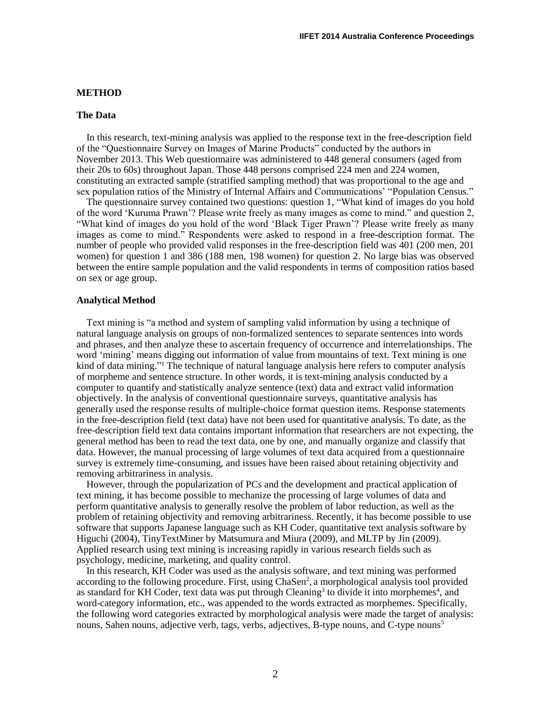#### **METHOD**

#### **The Data**

In this research, text-mining analysis was applied to the response text in the free-description field of the "Questionnaire Survey on Images of Marine Products" conducted by the authors in November 2013. This Web questionnaire was administered to 448 general consumers (aged from their 20s to 60s) throughout Japan. Those 448 persons comprised 224 men and 224 women, constituting an extracted sample (stratified sampling method) that was proportional to the age and sex population ratios of the Ministry of Internal Affairs and Communications' "Population Census."

The questionnaire survey contained two questions: question 1, "What kind of images do you hold of the word 'Kuruma Prawn'? Please write freely as many images as come to mind." and question 2, "What kind of images do you hold of the word 'Black Tiger Prawn'? Please write freely as many images as come to mind." Respondents were asked to respond in a free-description format. The number of people who provided valid responses in the free-description field was 401 (200 men, 201 women) for question 1 and 386 (188 men, 198 women) for question 2. No large bias was observed between the entire sample population and the valid respondents in terms of composition ratios based on sex or age group.

#### **Analytical Method**

Text mining is "a method and system of sampling valid information by using a technique of natural language analysis on groups of non-formalized sentences to separate sentences into words and phrases, and then analyze these to ascertain frequency of occurrence and interrelationships. The word 'mining' means digging out information of value from mountains of text. Text mining is one kind of data mining."<sup>1</sup> The technique of natural language analysis here refers to computer analysis of morpheme and sentence structure. In other words, it is text-mining analysis conducted by a computer to quantify and statistically analyze sentence (text) data and extract valid information objectively. In the analysis of conventional questionnaire surveys, quantitative analysis has generally used the response results of multiple-choice format question items. Response statements in the free-description field (text data) have not been used for quantitative analysis. To date, as the free-description field text data contains important information that researchers are not expecting, the general method has been to read the text data, one by one, and manually organize and classify that data. However, the manual processing of large volumes of text data acquired from a questionnaire survey is extremely time-consuming, and issues have been raised about retaining objectivity and removing arbitrariness in analysis.

However, through the popularization of PCs and the development and practical application of text mining, it has become possible to mechanize the processing of large volumes of data and perform quantitative analysis to generally resolve the problem of labor reduction, as well as the problem of retaining objectivity and removing arbitrariness. Recently, it has become possible to use software that supports Japanese language such as KH Coder, quantitative text analysis software by Higuchi (2004), TinyTextMiner by Matsumura and Miura (2009), and MLTP by Jin (2009). Applied research using text mining is increasing rapidly in various research fields such as psychology, medicine, marketing, and quality control.

In this research, KH Coder was used as the analysis software, and text mining was performed according to the following procedure. First, using ChaSen<sup>2</sup>, a morphological analysis tool provided as standard for KH Coder, text data was put through Cleaning<sup>3</sup> to divide it into morphemes<sup>4</sup>, and word-category information, etc., was appended to the words extracted as morphemes. Specifically, the following word categories extracted by morphological analysis were made the target of analysis: nouns, Sahen nouns, adjective verb, tags, verbs, adjectives, B-type nouns, and C-type nouns<sup>5</sup>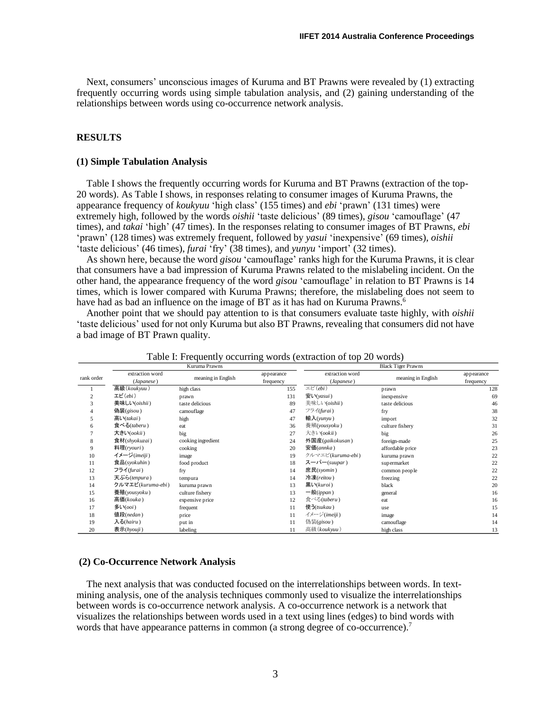Next, consumers' unconscious images of Kuruma and BT Prawns were revealed by (1) extracting frequently occurring words using simple tabulation analysis, and (2) gaining understanding of the relationships between words using co-occurrence network analysis.

## **RESULTS**

#### **(1) Simple Tabulation Analysis**

Table I shows the frequently occurring words for Kuruma and BT Prawns (extraction of the top-20 words). As Table I shows, in responses relating to consumer images of Kuruma Prawns, the appearance frequency of *koukyuu* 'high class' (155 times) and *ebi* 'prawn' (131 times) were extremely high, followed by the words *oishii* 'taste delicious' (89 times), *gisou* 'camouflage' (47 times), and *takai* 'high' (47 times). In the responses relating to consumer images of BT Prawns, *ebi* 'prawn' (128 times) was extremely frequent, followed by *yasui* 'inexpensive' (69 times), *oishii* 'taste delicious' (46 times), *furai* 'fry' (38 times), and *yunyu* 'import' (32 times).

As shown here, because the word *gisou* 'camouflage' ranks high for the Kuruma Prawns, it is clear that consumers have a bad impression of Kuruma Prawns related to the mislabeling incident. On the other hand, the appearance frequency of the word *gisou* 'camouflage' in relation to BT Prawns is 14 times, which is lower compared with Kuruma Prawns; therefore, the mislabeling does not seem to have had as bad an influence on the image of BT as it has had on Kuruma Prawns.<sup>6</sup>

Another point that we should pay attention to is that consumers evaluate taste highly, with *oishii* 'taste delicious' used for not only Kuruma but also BT Prawns, revealing that consumers did not have a bad image of BT Prawn quality.

|                |                               | Kuruma Prawns      | ັ                       | л.                                               | <b>Black Tiger Prawns</b> |                         |
|----------------|-------------------------------|--------------------|-------------------------|--------------------------------------------------|---------------------------|-------------------------|
| rank order     | extraction word<br>(Japanese) | meaning in English | appearance<br>frequency | extraction word<br>(Japanese)                    | meaning in English        | appearance<br>frequency |
|                | 高級(koukyuu)                   | high class         | 155                     | $\exists E' (ebi)$                               | prawn                     | 128                     |
| $\overline{c}$ | エビ $(ebi)$                    | prawn              | 131                     | 安い(yasui)                                        | inexpensive               | 69                      |
| 3              | 美味しい(oishii)                  | taste delicious    | 89                      | 美味しい(oishii)                                     | taste delicious           | 46                      |
| 4              | 偽装(gisou)                     | camouflage         | 47                      | フライ(furai)                                       | fry                       | 38                      |
| 5              | 高い(takai)                     | high               | 47                      | 輸入 $(vunyu)$                                     | import                    | 32                      |
| 6              | 食べる(taberu)                   | eat                | 36                      | 養殖(yousyoku)                                     | culture fishery           | 31                      |
|                | 大きい(ookii)                    | big                | 27                      | 大きい(ookii)                                       | big                       | 26                      |
| 8              | 食材(shyokuzai)                 | cooking ingredient | 24                      | 外国産(gaikokusan)                                  | foreign-made              | 25                      |
| 9              | 料理(ryouri)                    | cooking            | 20                      | 安価(annka)                                        | affordable price          | 23                      |
| 10             | イメージ(imeiji)                  | image              | 19                      | クルマエビ(kuruma-ebi)                                | kuruma prawn              | 22                      |
| 11             | 食品(syokuhin)                  | food product       | 18                      | $Z \rightarrow$ $\zeta$ $\rightarrow$ $(suupar)$ | supermarket               | 22                      |
| 12             | フライ(furai)                    | fry                | 14                      | 庶民(syomin)                                       | common people             | 22                      |
| 13             | 天ぷら(tenpura)                  | tempura            | 14                      | 冷凍(reitou)                                       | freezing                  | 22                      |
| 14             | クルマエビ(kuruma-ebi)             | kuruma prawn       | 13                      | 黒い(kuroi)                                        | black                     | 20                      |
| 15             | 養殖(yousyoku)                  | culture fishery    | 13                      | 一般 $(ippan)$                                     | general                   | 16                      |
| 16             | 高価(kouka)                     | expensive price    | 12                      | 食べる(taberu)                                      | eat                       | 16                      |
| 17             | 多い $(ooi)$                    | frequent           | 11                      | 使う(tsukau)                                       | use                       | 15                      |
| 18             | 值段(nedan)                     | price              | 11                      | イメージ(imeiji)                                     | image                     | 14                      |
| 19             | 入る(hairu)                     | put in             | 11                      | 偽装(gisou)                                        | camouflage                | 14                      |
| 20             | 表示(hyouji)                    | labeling           | 11                      | 高級(koukyuu)                                      | high class                | 13                      |

Table I: Frequently occurring words (extraction of top 20 words)

## **(2) Co-Occurrence Network Analysis**

The next analysis that was conducted focused on the interrelationships between words. In textmining analysis, one of the analysis techniques commonly used to visualize the interrelationships between words is co-occurrence network analysis. A co-occurrence network is a network that visualizes the relationships between words used in a text using lines (edges) to bind words with words that have appearance patterns in common (a strong degree of co-occurrence).<sup>7</sup>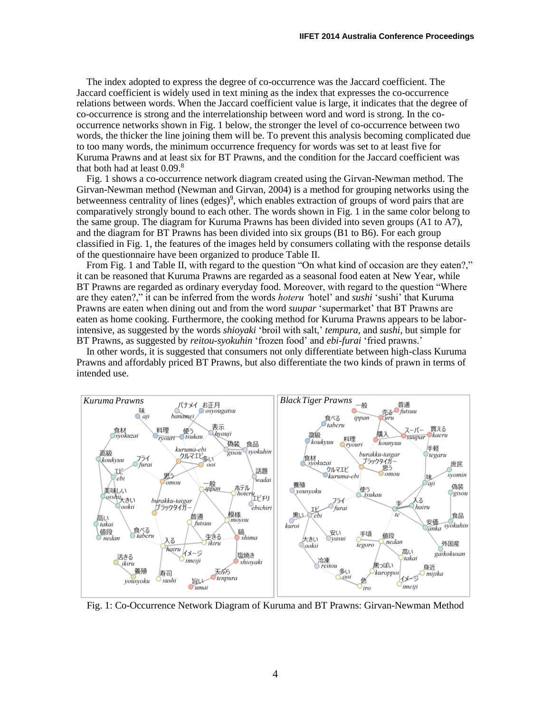The index adopted to express the degree of co-occurrence was the Jaccard coefficient. The Jaccard coefficient is widely used in text mining as the index that expresses the co-occurrence relations between words. When the Jaccard coefficient value is large, it indicates that the degree of co-occurrence is strong and the interrelationship between word and word is strong. In the cooccurrence networks shown in Fig. 1 below, the stronger the level of co-occurrence between two words, the thicker the line joining them will be. To prevent this analysis becoming complicated due to too many words, the minimum occurrence frequency for words was set to at least five for Kuruma Prawns and at least six for BT Prawns, and the condition for the Jaccard coefficient was that both had at least  $0.09$ .<sup>8</sup>

Fig. 1 shows a co-occurrence network diagram created using the Girvan-Newman method. The Girvan-Newman method (Newman and Girvan, 2004) is a method for grouping networks using the betweenness centrality of lines (edges)<sup>9</sup>, which enables extraction of groups of word pairs that are comparatively strongly bound to each other. The words shown in Fig. 1 in the same color belong to the same group. The diagram for Kuruma Prawns has been divided into seven groups (A1 to A7), and the diagram for BT Prawns has been divided into six groups (B1 to B6). For each group classified in Fig. 1, the features of the images held by consumers collating with the response details of the questionnaire have been organized to produce Table II.

From Fig. 1 and Table II, with regard to the question "On what kind of occasion are they eaten?," it can be reasoned that Kuruma Prawns are regarded as a seasonal food eaten at New Year, while BT Prawns are regarded as ordinary everyday food. Moreover, with regard to the question "Where are they eaten?," it can be inferred from the words *hoteru '*hotel' and *sushi* 'sushi' that Kuruma Prawns are eaten when dining out and from the word *suupar* 'supermarket' that BT Prawns are eaten as home cooking. Furthermore, the cooking method for Kuruma Prawns appears to be laborintensive, as suggested by the words *shioyaki* 'broil with salt,' *tempura*, and *sushi*, but simple for BT Prawns, as suggested by *reitou-syokuhin* 'frozen food' and *ebi-furai* 'fried prawns.'

In other words, it is suggested that consumers not only differentiate between high-class Kuruma Prawns and affordably priced BT Prawns, but also differentiate the two kinds of prawn in terms of intended use.



Fig. 1: Co-Occurrence Network Diagram of Kuruma and BT Prawns: Girvan-Newman Method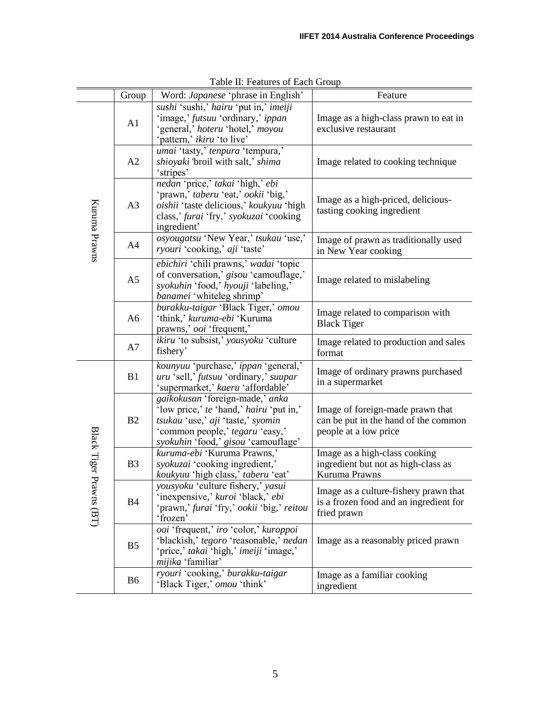|                 | Group          | Word: <i>Japanese</i> 'phrase in English'                                                                                                                                                 | Feature                                                                                           |
|-----------------|----------------|-------------------------------------------------------------------------------------------------------------------------------------------------------------------------------------------|---------------------------------------------------------------------------------------------------|
| Kuruma Prawns   | A1             | sushi 'sushi,' hairu 'put in,' imeiji<br>'image,' futsuu 'ordinary,' ippan<br>'general,' hoteru 'hotel,' moyou<br>'pattern,' <i>ikiru</i> 'to live'                                       | Image as a high-class prawn to eat in<br>exclusive restaurant                                     |
|                 | A2             | umai 'tasty,' tenpura 'tempura,'<br>shioyaki 'broil with salt,' shima<br>'stripes'                                                                                                        | Image related to cooking technique                                                                |
|                 | A <sub>3</sub> | nedan 'price,' takai 'high,' ebi<br>'prawn,' taberu 'eat,' ookii 'big,'<br>oishii 'taste delicious,' koukyuu 'high<br>class,' furai 'fry,' syokuzai 'cooking<br>ingredient'               | Image as a high-priced, delicious-<br>tasting cooking ingredient                                  |
|                 | A <sub>4</sub> | osyougatsu 'New Year,' tsukau 'use,'<br>ryouri 'cooking,' aji 'taste'                                                                                                                     | Image of prawn as traditionally used<br>in New Year cooking                                       |
|                 | A <sub>5</sub> | ebichiri 'chili prawns,' wadai 'topic<br>of conversation,' gisou 'camouflage,'<br>syokuhin 'food,' hyouji 'labeling,'<br>banamei 'whiteleg shrimp'                                        | Image related to mislabeling                                                                      |
|                 | A <sub>6</sub> | burakku-taigar 'Black Tiger,' omou<br>'think,' kuruma-ebi 'Kuruma<br>prawns,' ooi 'frequent,'                                                                                             | Image related to comparison with<br><b>Black Tiger</b>                                            |
|                 | A7             | ikiru 'to subsist,' yousyoku 'culture<br>fishery'                                                                                                                                         | Image related to production and sales<br>format                                                   |
|                 | B1             | kounyuu 'purchase,' ippan 'general,'<br>uru 'sell,' futsuu 'ordinary,' suupar<br>'supermarket,' kaeru 'affordable'                                                                        | Image of ordinary prawns purchased<br>in a supermarket                                            |
|                 | B2             | gaikokusan 'foreign-made,' anka<br>'low price,' te 'hand,' hairu 'put in,'<br>tsukau 'use,' aji 'taste,' syomin<br>'common people,' tegaru 'easy,'<br>syokuhin 'food,' gisou 'camouflage' | Image of foreign-made prawn that<br>can be put in the hand of the common<br>people at a low price |
| Black Tiger Pra | B <sub>3</sub> | kuruma-ebi 'Kuruma Prawns,'<br>syokuzai 'cooking ingredient,'<br>koukyuu 'high class,' taberu 'eat'                                                                                       | Image as a high-class cooking<br>ingredient but not as high-class as<br>Kuruma Prawns             |
| wns(BT)         | <b>B4</b>      | yousyoku 'culture fishery,' yasui<br>'inexpensive,' kuroi 'black,' ebi<br>'prawn,' furai 'fry,' ookii 'big,' reitou<br>'frozen'                                                           | Image as a culture-fishery prawn that<br>is a frozen food and an ingredient for<br>fried prawn    |
|                 | B <sub>5</sub> | ooi 'frequent,' iro 'color,' kuroppoi<br>'blackish,' tegoro 'reasonable,' nedan<br>'price,' takai 'high,' imeiji 'image,'<br>mijika 'familiar'                                            | Image as a reasonably priced prawn                                                                |
|                 | B6             | ryouri 'cooking,' burakku-taigar<br>'Black Tiger,' omou 'think'                                                                                                                           | Image as a familiar cooking<br>ingredient                                                         |

Table II: Features of Each Group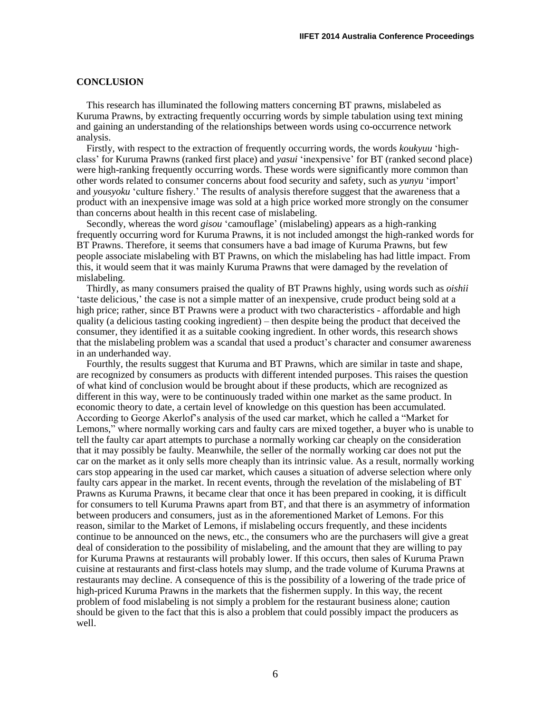## **CONCLUSION**

This research has illuminated the following matters concerning BT prawns, mislabeled as Kuruma Prawns, by extracting frequently occurring words by simple tabulation using text mining and gaining an understanding of the relationships between words using co-occurrence network analysis.

Firstly, with respect to the extraction of frequently occurring words, the words *koukyuu* 'highclass' for Kuruma Prawns (ranked first place) and *yasui* 'inexpensive' for BT (ranked second place) were high-ranking frequently occurring words. These words were significantly more common than other words related to consumer concerns about food security and safety, such as *yunyu* 'import' and *yousyoku* 'culture fishery.' The results of analysis therefore suggest that the awareness that a product with an inexpensive image was sold at a high price worked more strongly on the consumer than concerns about health in this recent case of mislabeling.

Secondly, whereas the word *gisou* 'camouflage' (mislabeling) appears as a high-ranking frequently occurring word for Kuruma Prawns, it is not included amongst the high-ranked words for BT Prawns. Therefore, it seems that consumers have a bad image of Kuruma Prawns, but few people associate mislabeling with BT Prawns, on which the mislabeling has had little impact. From this, it would seem that it was mainly Kuruma Prawns that were damaged by the revelation of mislabeling.

Thirdly, as many consumers praised the quality of BT Prawns highly, using words such as *oishii* 'taste delicious,' the case is not a simple matter of an inexpensive, crude product being sold at a high price; rather, since BT Prawns were a product with two characteristics - affordable and high quality (a delicious tasting cooking ingredient) – then despite being the product that deceived the consumer, they identified it as a suitable cooking ingredient. In other words, this research shows that the mislabeling problem was a scandal that used a product's character and consumer awareness in an underhanded way.

Fourthly, the results suggest that Kuruma and BT Prawns, which are similar in taste and shape, are recognized by consumers as products with different intended purposes. This raises the question of what kind of conclusion would be brought about if these products, which are recognized as different in this way, were to be continuously traded within one market as the same product. In economic theory to date, a certain level of knowledge on this question has been accumulated. According to George Akerlof's analysis of the used car market, which he called a "Market for Lemons," where normally working cars and faulty cars are mixed together, a buyer who is unable to tell the faulty car apart attempts to purchase a normally working car cheaply on the consideration that it may possibly be faulty. Meanwhile, the seller of the normally working car does not put the car on the market as it only sells more cheaply than its intrinsic value. As a result, normally working cars stop appearing in the used car market, which causes a situation of adverse selection where only faulty cars appear in the market. In recent events, through the revelation of the mislabeling of BT Prawns as Kuruma Prawns, it became clear that once it has been prepared in cooking, it is difficult for consumers to tell Kuruma Prawns apart from BT, and that there is an asymmetry of information between producers and consumers, just as in the aforementioned Market of Lemons. For this reason, similar to the Market of Lemons, if mislabeling occurs frequently, and these incidents continue to be announced on the news, etc., the consumers who are the purchasers will give a great deal of consideration to the possibility of mislabeling, and the amount that they are willing to pay for Kuruma Prawns at restaurants will probably lower. If this occurs, then sales of Kuruma Prawn cuisine at restaurants and first-class hotels may slump, and the trade volume of Kuruma Prawns at restaurants may decline. A consequence of this is the possibility of a lowering of the trade price of high-priced Kuruma Prawns in the markets that the fishermen supply. In this way, the recent problem of food mislabeling is not simply a problem for the restaurant business alone; caution should be given to the fact that this is also a problem that could possibly impact the producers as well.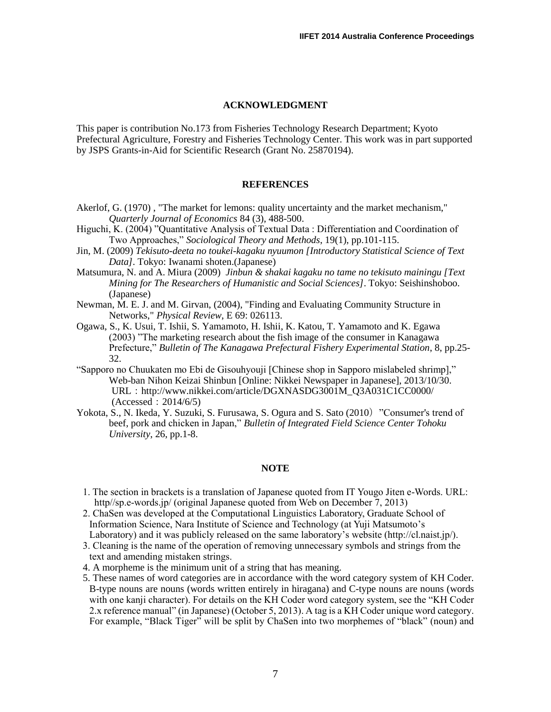## **ACKNOWLEDGMENT**

This paper is contribution No.173 from Fisheries Technology Research Department; Kyoto Prefectural Agriculture, Forestry and Fisheries Technology Center. This work was in part supported by JSPS Grants-in-Aid for Scientific Research (Grant No. 25870194).

# **REFERENCES**

- Akerlof, G. (1970) , "The market for lemons: quality uncertainty and the market mechanism," *Quarterly Journal of Economics* 84 (3), 488-500.
- Higuchi, K. (2004) "Quantitative Analysis of Textual Data : Differentiation and Coordination of Two Approaches," *Sociological Theory and Methods*, 19(1), pp.101-115.
- Jin, M. (2009) *Tekisuto-deeta no toukei-kagaku nyuumon [Introductory Statistical Science of Text Data]*. Tokyo: Iwanami shoten.(Japanese)
- Matsumura, N. and A. Miura (2009) *Jinbun & shakai kagaku no tame no tekisuto mainingu [Text Mining for The Researchers of Humanistic and Social Sciences]*. Tokyo: Seishinshoboo. (Japanese)
- Newman, M. E. J. and M. Girvan, (2004), "Finding and Evaluating Community Structure in Networks," *Physical Review*, E 69: 026113.
- Ogawa, S., K. Usui, T. Ishii, S. Yamamoto, H. Ishii, K. Katou, T. Yamamoto and K. Egawa (2003) "The marketing research about the fish image of the consumer in Kanagawa Prefecture," *Bulletin of The Kanagawa Prefectural Fishery Experimental Station*, 8, pp.25- 32.
- "Sapporo no Chuukaten mo Ebi de Gisouhyouji [Chinese shop in Sapporo mislabeled shrimp]," Web-ban Nihon Keizai Shinbun [Online: Nikkei Newspaper in Japanese], 2013/10/30. URL:http://www.nikkei.com/article/DGXNASDG3001M\_Q3A031C1CC0000/  $(Acressed: 2014/6/5)$
- Yokota, S., N. Ikeda, Y. Suzuki, S. Furusawa, S. Ogura and S. Sato (2010) "Consumer's trend of beef, pork and chicken in Japan," *Bulletin of Integrated Field Science Center Tohoku University*, 26, pp.1-8.

#### **NOTE**

- 1. The section in brackets is a translation of Japanese quoted from IT Yougo Jiten e-Words. URL: http//sp.e-words.jp/ (original Japanese quoted from Web on December 7, 2013)
- 2. ChaSen was developed at the Computational Linguistics Laboratory, Graduate School of Information Science, Nara Institute of Science and Technology (at Yuji Matsumoto's Laboratory) and it was publicly released on the same laboratory's website (http://cl.naist.jp/).
- 3. Cleaning is the name of the operation of removing unnecessary symbols and strings from the text and amending mistaken strings.
- 4. A morpheme is the minimum unit of a string that has meaning.
- 5. These names of word categories are in accordance with the word category system of KH Coder. B-type nouns are nouns (words written entirely in hiragana) and C-type nouns are nouns (words with one kanji character). For details on the KH Coder word category system, see the "KH Coder 2.x reference manual" (in Japanese) (October 5, 2013). A tag is a KH Coder unique word category. For example, "Black Tiger" will be split by ChaSen into two morphemes of "black" (noun) and